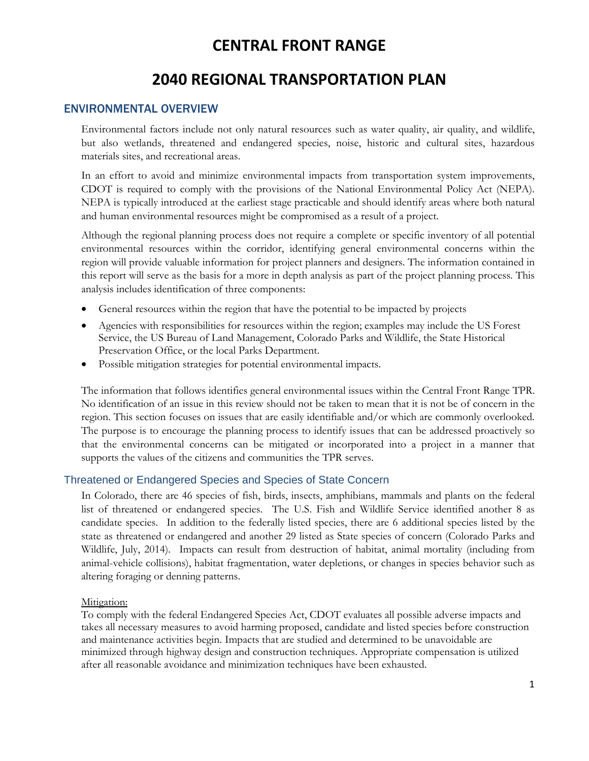# **2040 REGIONAL TRANSPORTATION PLAN**

### ENVIRONMENTAL OVERVIEW

Environmental factors include not only natural resources such as water quality, air quality, and wildlife, but also wetlands, threatened and endangered species, noise, historic and cultural sites, hazardous materials sites, and recreational areas.

In an effort to avoid and minimize environmental impacts from transportation system improvements, CDOT is required to comply with the provisions of the National Environmental Policy Act (NEPA). NEPA is typically introduced at the earliest stage practicable and should identify areas where both natural and human environmental resources might be compromised as a result of a project.

Although the regional planning process does not require a complete or specific inventory of all potential environmental resources within the corridor, identifying general environmental concerns within the region will provide valuable information for project planners and designers. The information contained in this report will serve as the basis for a more in depth analysis as part of the project planning process. This analysis includes identification of three components:

- General resources within the region that have the potential to be impacted by projects
- Agencies with responsibilities for resources within the region; examples may include the US Forest Service, the US Bureau of Land Management, Colorado Parks and Wildlife, the State Historical Preservation Office, or the local Parks Department.
- Possible mitigation strategies for potential environmental impacts.

The information that follows identifies general environmental issues within the Central Front Range TPR. No identification of an issue in this review should not be taken to mean that it is not be of concern in the region. This section focuses on issues that are easily identifiable and/or which are commonly overlooked. The purpose is to encourage the planning process to identify issues that can be addressed proactively so that the environmental concerns can be mitigated or incorporated into a project in a manner that supports the values of the citizens and communities the TPR serves.

#### Threatened or Endangered Species and Species of State Concern

In Colorado, there are 46 species of fish, birds, insects, amphibians, mammals and plants on the federal list of threatened or endangered species. The U.S. Fish and Wildlife Service identified another 8 as candidate species. In addition to the federally listed species, there are 6 additional species listed by the state as threatened or endangered and another 29 listed as State species of concern (Colorado Parks and Wildlife, July, 2014). Impacts can result from destruction of habitat, animal mortality (including from animal-vehicle collisions), habitat fragmentation, water depletions, or changes in species behavior such as altering foraging or denning patterns.

#### Mitigation:

To comply with the federal Endangered Species Act, CDOT evaluates all possible adverse impacts and takes all necessary measures to avoid harming proposed, candidate and listed species before construction and maintenance activities begin. Impacts that are studied and determined to be unavoidable are minimized through highway design and construction techniques. Appropriate compensation is utilized after all reasonable avoidance and minimization techniques have been exhausted.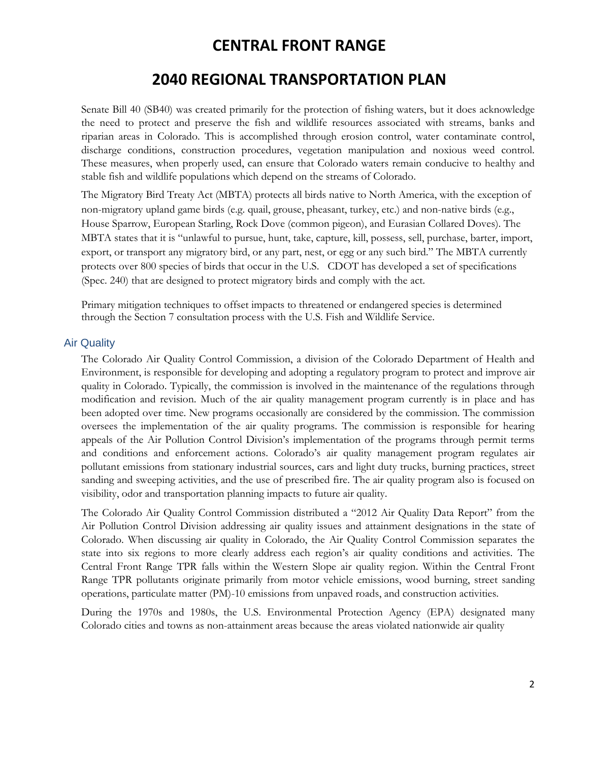### **2040 REGIONAL TRANSPORTATION PLAN**

Senate Bill 40 (SB40) was created primarily for the protection of fishing waters, but it does acknowledge the need to protect and preserve the fish and wildlife resources associated with streams, banks and riparian areas in Colorado. This is accomplished through erosion control, water contaminate control, discharge conditions, construction procedures, vegetation manipulation and noxious weed control. These measures, when properly used, can ensure that Colorado waters remain conducive to healthy and stable fish and wildlife populations which depend on the streams of Colorado.

The Migratory Bird Treaty Act (MBTA) protects all birds native to North America, with the exception of non-migratory upland game birds (e.g. quail, grouse, pheasant, turkey, etc.) and non-native birds (e.g., House Sparrow, European Starling, Rock Dove (common pigeon), and Eurasian Collared Doves). The MBTA states that it is "unlawful to pursue, hunt, take, capture, kill, possess, sell, purchase, barter, import, export, or transport any migratory bird, or any part, nest, or egg or any such bird." The MBTA currently protects over 800 species of birds that occur in the U.S. CDOT has developed a set of specifications (Spec. 240) that are designed to protect migratory birds and comply with the act.

Primary mitigation techniques to offset impacts to threatened or endangered species is determined through the Section 7 consultation process with the U.S. Fish and Wildlife Service.

### Air Quality

The Colorado Air Quality Control Commission, a division of the Colorado Department of Health and Environment, is responsible for developing and adopting a regulatory program to protect and improve air quality in Colorado. Typically, the commission is involved in the maintenance of the regulations through modification and revision. Much of the air quality management program currently is in place and has been adopted over time. New programs occasionally are considered by the commission. The commission oversees the implementation of the air quality programs. The commission is responsible for hearing appeals of the Air Pollution Control Division's implementation of the programs through permit terms and conditions and enforcement actions. Colorado's air quality management program regulates air pollutant emissions from stationary industrial sources, cars and light duty trucks, burning practices, street sanding and sweeping activities, and the use of prescribed fire. The air quality program also is focused on visibility, odor and transportation planning impacts to future air quality.

The Colorado Air Quality Control Commission distributed a "2012 Air Quality Data Report" from the Air Pollution Control Division addressing air quality issues and attainment designations in the state of Colorado. When discussing air quality in Colorado, the Air Quality Control Commission separates the state into six regions to more clearly address each region's air quality conditions and activities. The Central Front Range TPR falls within the Western Slope air quality region. Within the Central Front Range TPR pollutants originate primarily from motor vehicle emissions, wood burning, street sanding operations, particulate matter (PM)-10 emissions from unpaved roads, and construction activities.

During the 1970s and 1980s, the U.S. Environmental Protection Agency (EPA) designated many Colorado cities and towns as non-attainment areas because the areas violated nationwide air quality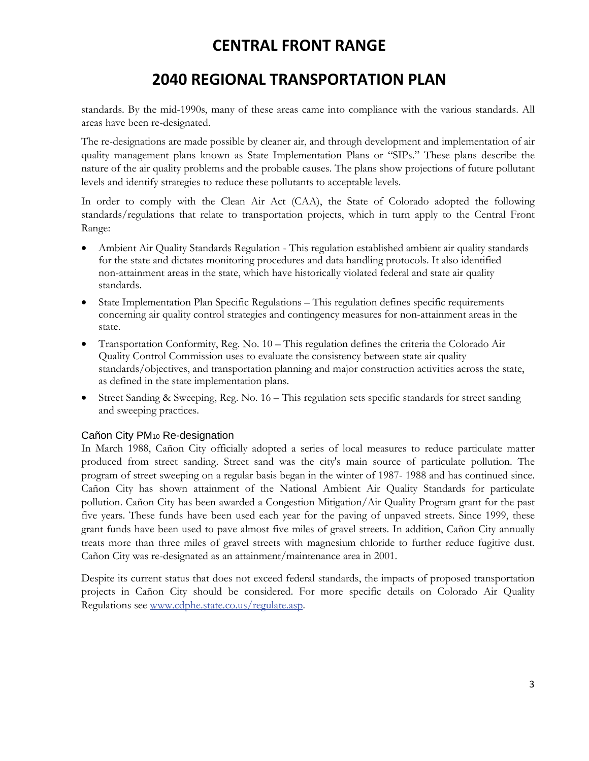# **2040 REGIONAL TRANSPORTATION PLAN**

standards. By the mid-1990s, many of these areas came into compliance with the various standards. All areas have been re-designated.

The re-designations are made possible by cleaner air, and through development and implementation of air quality management plans known as State Implementation Plans or "SIPs." These plans describe the nature of the air quality problems and the probable causes. The plans show projections of future pollutant levels and identify strategies to reduce these pollutants to acceptable levels.

In order to comply with the Clean Air Act (CAA), the State of Colorado adopted the following standards/regulations that relate to transportation projects, which in turn apply to the Central Front Range:

- Ambient Air Quality Standards Regulation This regulation established ambient air quality standards for the state and dictates monitoring procedures and data handling protocols. It also identified non-attainment areas in the state, which have historically violated federal and state air quality standards.
- State Implementation Plan Specific Regulations This regulation defines specific requirements concerning air quality control strategies and contingency measures for non-attainment areas in the state.
- Transportation Conformity, Reg. No. 10 This regulation defines the criteria the Colorado Air Quality Control Commission uses to evaluate the consistency between state air quality standards/objectives, and transportation planning and major construction activities across the state, as defined in the state implementation plans.
- Street Sanding & Sweeping, Reg. No. 16 This regulation sets specific standards for street sanding and sweeping practices.

### Cañon City PM10 Re-designation

In March 1988, Cañon City officially adopted a series of local measures to reduce particulate matter produced from street sanding. Street sand was the city's main source of particulate pollution. The program of street sweeping on a regular basis began in the winter of 1987- 1988 and has continued since. Cañon City has shown attainment of the National Ambient Air Quality Standards for particulate pollution. Cañon City has been awarded a Congestion Mitigation/Air Quality Program grant for the past five years. These funds have been used each year for the paving of unpaved streets. Since 1999, these grant funds have been used to pave almost five miles of gravel streets. In addition, Cañon City annually treats more than three miles of gravel streets with magnesium chloride to further reduce fugitive dust. Cañon City was re-designated as an attainment/maintenance area in 2001.

Despite its current status that does not exceed federal standards, the impacts of proposed transportation projects in Cañon City should be considered. For more specific details on Colorado Air Quality Regulations see www.cdphe.state.co.us/regulate.asp.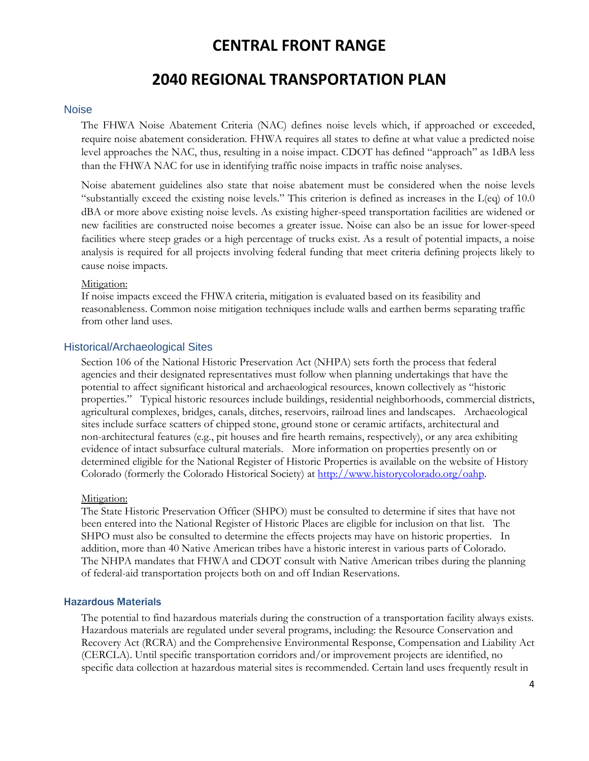## **2040 REGIONAL TRANSPORTATION PLAN**

#### **Noise**

The FHWA Noise Abatement Criteria (NAC) defines noise levels which, if approached or exceeded, require noise abatement consideration. FHWA requires all states to define at what value a predicted noise level approaches the NAC, thus, resulting in a noise impact. CDOT has defined "approach" as 1dBA less than the FHWA NAC for use in identifying traffic noise impacts in traffic noise analyses.

Noise abatement guidelines also state that noise abatement must be considered when the noise levels "substantially exceed the existing noise levels." This criterion is defined as increases in the L(eq) of 10.0 dBA or more above existing noise levels. As existing higher-speed transportation facilities are widened or new facilities are constructed noise becomes a greater issue. Noise can also be an issue for lower-speed facilities where steep grades or a high percentage of trucks exist. As a result of potential impacts, a noise analysis is required for all projects involving federal funding that meet criteria defining projects likely to cause noise impacts.

#### Mitigation:

If noise impacts exceed the FHWA criteria, mitigation is evaluated based on its feasibility and reasonableness. Common noise mitigation techniques include walls and earthen berms separating traffic from other land uses.

#### Historical/Archaeological Sites

Section 106 of the National Historic Preservation Act (NHPA) sets forth the process that federal agencies and their designated representatives must follow when planning undertakings that have the potential to affect significant historical and archaeological resources, known collectively as "historic properties." Typical historic resources include buildings, residential neighborhoods, commercial districts, agricultural complexes, bridges, canals, ditches, reservoirs, railroad lines and landscapes. Archaeological sites include surface scatters of chipped stone, ground stone or ceramic artifacts, architectural and non-architectural features (e.g., pit houses and fire hearth remains, respectively), or any area exhibiting evidence of intact subsurface cultural materials. More information on properties presently on or determined eligible for the National Register of Historic Properties is available on the website of History Colorado (formerly the Colorado Historical Society) at http://www.historycolorado.org/oahp.

#### Mitigation:

The State Historic Preservation Officer (SHPO) must be consulted to determine if sites that have not been entered into the National Register of Historic Places are eligible for inclusion on that list. The SHPO must also be consulted to determine the effects projects may have on historic properties. In addition, more than 40 Native American tribes have a historic interest in various parts of Colorado. The NHPA mandates that FHWA and CDOT consult with Native American tribes during the planning of federal-aid transportation projects both on and off Indian Reservations.

#### Hazardous Materials

The potential to find hazardous materials during the construction of a transportation facility always exists. Hazardous materials are regulated under several programs, including: the Resource Conservation and Recovery Act (RCRA) and the Comprehensive Environmental Response, Compensation and Liability Act (CERCLA). Until specific transportation corridors and/or improvement projects are identified, no specific data collection at hazardous material sites is recommended. Certain land uses frequently result in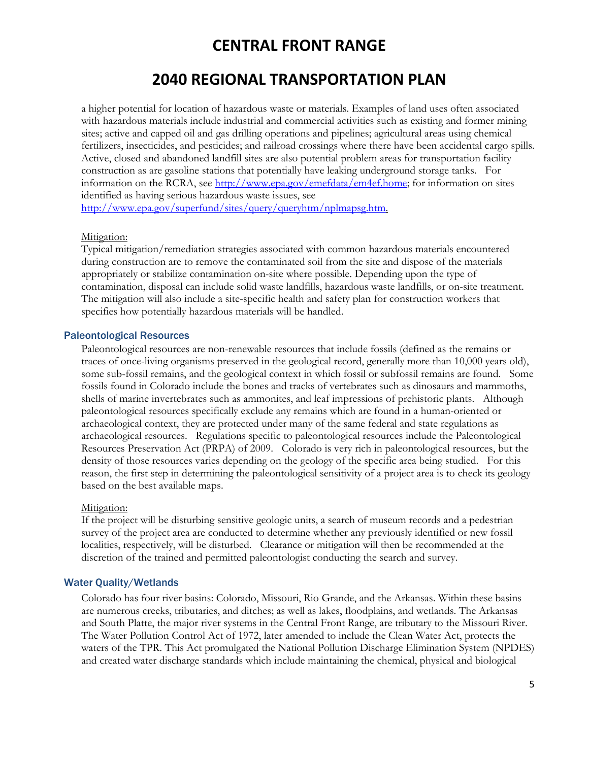## **2040 REGIONAL TRANSPORTATION PLAN**

a higher potential for location of hazardous waste or materials. Examples of land uses often associated with hazardous materials include industrial and commercial activities such as existing and former mining sites; active and capped oil and gas drilling operations and pipelines; agricultural areas using chemical fertilizers, insecticides, and pesticides; and railroad crossings where there have been accidental cargo spills. Active, closed and abandoned landfill sites are also potential problem areas for transportation facility construction as are gasoline stations that potentially have leaking underground storage tanks. For information on the RCRA, see http://www.epa.gov/emefdata/em4ef.home; for information on sites identified as having serious hazardous waste issues, see http://www.epa.gov/superfund/sites/query/queryhtm/nplmapsg.htm.

#### Mitigation:

Typical mitigation/remediation strategies associated with common hazardous materials encountered during construction are to remove the contaminated soil from the site and dispose of the materials appropriately or stabilize contamination on-site where possible. Depending upon the type of contamination, disposal can include solid waste landfills, hazardous waste landfills, or on-site treatment. The mitigation will also include a site-specific health and safety plan for construction workers that specifies how potentially hazardous materials will be handled.

#### Paleontological Resources

Paleontological resources are non-renewable resources that include fossils (defined as the remains or traces of once-living organisms preserved in the geological record, generally more than 10,000 years old), some sub-fossil remains, and the geological context in which fossil or subfossil remains are found. Some fossils found in Colorado include the bones and tracks of vertebrates such as dinosaurs and mammoths, shells of marine invertebrates such as ammonites, and leaf impressions of prehistoric plants. Although paleontological resources specifically exclude any remains which are found in a human-oriented or archaeological context, they are protected under many of the same federal and state regulations as archaeological resources. Regulations specific to paleontological resources include the Paleontological Resources Preservation Act (PRPA) of 2009. Colorado is very rich in paleontological resources, but the density of those resources varies depending on the geology of the specific area being studied. For this reason, the first step in determining the paleontological sensitivity of a project area is to check its geology based on the best available maps.

#### Mitigation:

If the project will be disturbing sensitive geologic units, a search of museum records and a pedestrian survey of the project area are conducted to determine whether any previously identified or new fossil localities, respectively, will be disturbed. Clearance or mitigation will then be recommended at the discretion of the trained and permitted paleontologist conducting the search and survey.

### Water Quality/Wetlands

Colorado has four river basins: Colorado, Missouri, Rio Grande, and the Arkansas. Within these basins are numerous creeks, tributaries, and ditches; as well as lakes, floodplains, and wetlands. The Arkansas and South Platte, the major river systems in the Central Front Range, are tributary to the Missouri River. The Water Pollution Control Act of 1972, later amended to include the Clean Water Act, protects the waters of the TPR. This Act promulgated the National Pollution Discharge Elimination System (NPDES) and created water discharge standards which include maintaining the chemical, physical and biological